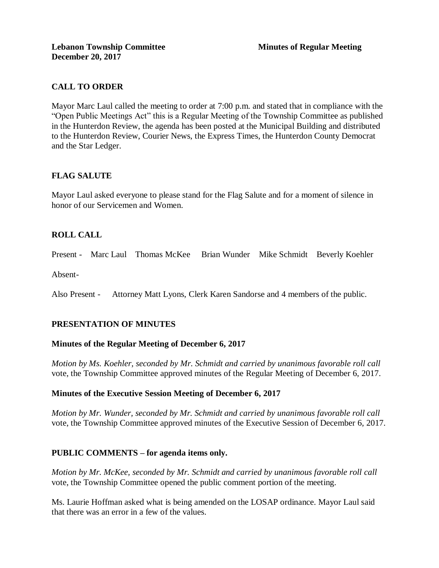# **CALL TO ORDER**

Mayor Marc Laul called the meeting to order at 7:00 p.m. and stated that in compliance with the "Open Public Meetings Act" this is a Regular Meeting of the Township Committee as published in the Hunterdon Review, the agenda has been posted at the Municipal Building and distributed to the Hunterdon Review, Courier News, the Express Times, the Hunterdon County Democrat and the Star Ledger.

# **FLAG SALUTE**

Mayor Laul asked everyone to please stand for the Flag Salute and for a moment of silence in honor of our Servicemen and Women.

# **ROLL CALL**

Present - Marc Laul Thomas McKee Brian Wunder Mike Schmidt Beverly Koehler

Absent-

Also Present - Attorney Matt Lyons, Clerk Karen Sandorse and 4 members of the public.

# **PRESENTATION OF MINUTES**

### **Minutes of the Regular Meeting of December 6, 2017**

*Motion by Ms. Koehler, seconded by Mr. Schmidt and carried by unanimous favorable roll call*  vote, the Township Committee approved minutes of the Regular Meeting of December 6, 2017.

### **Minutes of the Executive Session Meeting of December 6, 2017**

*Motion by Mr. Wunder, seconded by Mr. Schmidt and carried by unanimous favorable roll call*  vote, the Township Committee approved minutes of the Executive Session of December 6, 2017.

### **PUBLIC COMMENTS – for agenda items only.**

*Motion by Mr. McKee, seconded by Mr. Schmidt and carried by unanimous favorable roll call*  vote, the Township Committee opened the public comment portion of the meeting.

Ms. Laurie Hoffman asked what is being amended on the LOSAP ordinance. Mayor Laul said that there was an error in a few of the values.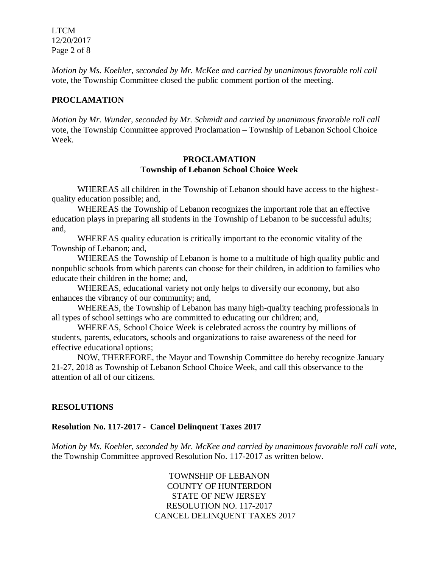LTCM 12/20/2017 Page 2 of 8

*Motion by Ms. Koehler, seconded by Mr. McKee and carried by unanimous favorable roll call*  vote, the Township Committee closed the public comment portion of the meeting.

## **PROCLAMATION**

*Motion by Mr. Wunder, seconded by Mr. Schmidt and carried by unanimous favorable roll call*  vote, the Township Committee approved Proclamation – Township of Lebanon School Choice Week.

#### **PROCLAMATION Township of Lebanon School Choice Week**

WHEREAS all children in the Township of Lebanon should have access to the highestquality education possible; and,

WHEREAS the Township of Lebanon recognizes the important role that an effective education plays in preparing all students in the Township of Lebanon to be successful adults; and,

WHEREAS quality education is critically important to the economic vitality of the Township of Lebanon; and,

WHEREAS the Township of Lebanon is home to a multitude of high quality public and nonpublic schools from which parents can choose for their children, in addition to families who educate their children in the home; and,

WHEREAS, educational variety not only helps to diversify our economy, but also enhances the vibrancy of our community; and,

WHEREAS, the Township of Lebanon has many high-quality teaching professionals in all types of school settings who are committed to educating our children; and,

WHEREAS, School Choice Week is celebrated across the country by millions of students, parents, educators, schools and organizations to raise awareness of the need for effective educational options;

NOW, THEREFORE, the Mayor and Township Committee do hereby recognize January 21-27, 2018 as Township of Lebanon School Choice Week, and call this observance to the attention of all of our citizens.

### **RESOLUTIONS**

### **Resolution No. 117-2017 - Cancel Delinquent Taxes 2017**

*Motion by Ms. Koehler, seconded by Mr. McKee and carried by unanimous favorable roll call vote,* the Township Committee approved Resolution No. 117-2017 as written below.

> TOWNSHIP OF LEBANON COUNTY OF HUNTERDON STATE OF NEW JERSEY RESOLUTION NO. 117-2017 CANCEL DELINQUENT TAXES 2017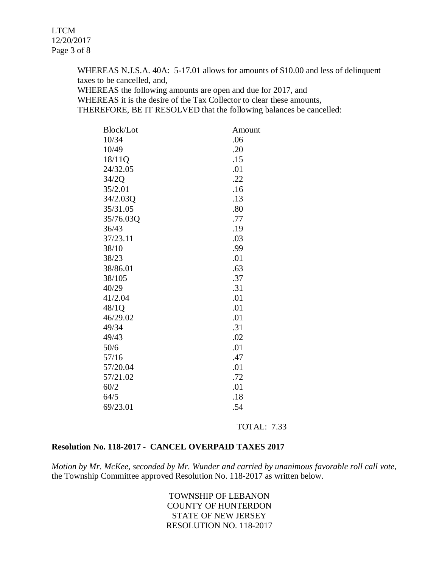WHEREAS N.J.S.A. 40A: 5-17.01 allows for amounts of \$10.00 and less of delinquent taxes to be cancelled, and,

WHEREAS the following amounts are open and due for 2017, and

WHEREAS it is the desire of the Tax Collector to clear these amounts,

THEREFORE, BE IT RESOLVED that the following balances be cancelled:

| <b>Block/Lot</b> | Amount |
|------------------|--------|
| 10/34            | .06    |
| 10/49            | .20    |
| 18/11Q           | .15    |
| 24/32.05         | .01    |
| 34/2Q            | .22    |
| 35/2.01          | .16    |
| 34/2.03Q         | .13    |
| 35/31.05         | .80    |
| 35/76.03Q        | .77    |
| 36/43            | .19    |
| 37/23.11         | .03    |
| 38/10            | .99    |
| 38/23            | .01    |
| 38/86.01         | .63    |
| 38/105           | .37    |
| 40/29            | .31    |
| 41/2.04          | .01    |
| 48/1Q            | .01    |
| 46/29.02         | .01    |
| 49/34            | .31    |
| 49/43            | .02    |
| 50/6             | .01    |
| 57/16            | .47    |
| 57/20.04         | .01    |
| 57/21.02         | .72    |
| 60/2             | .01    |
| 64/5             | .18    |
| 69/23.01         | .54    |

TOTAL: 7.33

## **Resolution No. 118-2017 - CANCEL OVERPAID TAXES 2017**

*Motion by Mr. McKee, seconded by Mr. Wunder and carried by unanimous favorable roll call vote,* the Township Committee approved Resolution No. 118-2017 as written below.

> TOWNSHIP OF LEBANON COUNTY OF HUNTERDON STATE OF NEW JERSEY RESOLUTION NO. 118-2017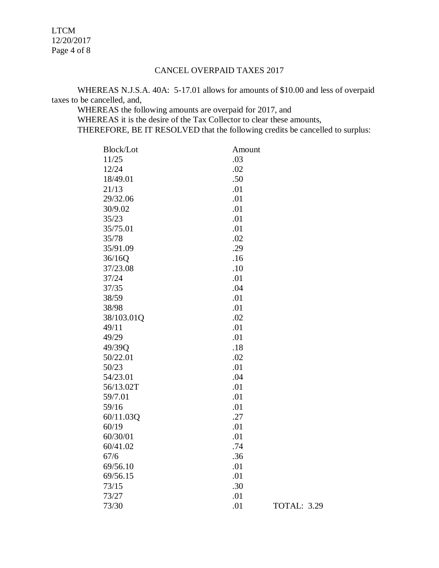LTCM 12/20/2017 Page 4 of 8

## CANCEL OVERPAID TAXES 2017

WHEREAS N.J.S.A. 40A: 5-17.01 allows for amounts of \$10.00 and less of overpaid taxes to be cancelled, and,

WHEREAS the following amounts are overpaid for 2017, and WHEREAS it is the desire of the Tax Collector to clear these amounts, THEREFORE, BE IT RESOLVED that the following credits be cancelled to surplus:

| <b>Block/Lot</b> | Amount |                    |
|------------------|--------|--------------------|
| 11/25            | .03    |                    |
| 12/24            | .02    |                    |
| 18/49.01         | .50    |                    |
| 21/13            | .01    |                    |
| 29/32.06         | .01    |                    |
| 30/9.02          | .01    |                    |
| 35/23            | .01    |                    |
| 35/75.01         | .01    |                    |
| 35/78            | .02    |                    |
| 35/91.09         | .29    |                    |
| 36/16Q           | .16    |                    |
| 37/23.08         | .10    |                    |
| 37/24            | .01    |                    |
| 37/35            | .04    |                    |
| 38/59            | .01    |                    |
| 38/98            | .01    |                    |
| 38/103.01Q       | .02    |                    |
| 49/11            | .01    |                    |
| 49/29            | .01    |                    |
| 49/39Q           | .18    |                    |
| 50/22.01         | .02    |                    |
| 50/23            | .01    |                    |
| 54/23.01         | .04    |                    |
| 56/13.02T        | .01    |                    |
| 59/7.01          | .01    |                    |
| 59/16            | .01    |                    |
| 60/11.03Q        | .27    |                    |
| 60/19            | .01    |                    |
| 60/30/01         | .01    |                    |
| 60/41.02         | .74    |                    |
| 67/6             | .36    |                    |
| 69/56.10         | .01    |                    |
| 69/56.15         | .01    |                    |
| 73/15            | .30    |                    |
| 73/27            | .01    |                    |
| 73/30            | .01    | <b>TOTAL: 3.29</b> |
|                  |        |                    |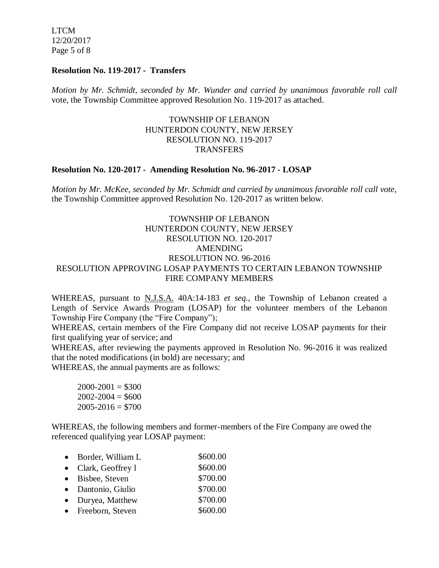LTCM 12/20/2017 Page 5 of 8

#### **Resolution No. 119-2017 - Transfers**

*Motion by Mr. Schmidt, seconded by Mr. Wunder and carried by unanimous favorable roll call*  vote, the Township Committee approved Resolution No. 119-2017 as attached.

## TOWNSHIP OF LEBANON HUNTERDON COUNTY, NEW JERSEY RESOLUTION NO. 119-2017 **TRANSFERS**

#### **Resolution No. 120-2017 - Amending Resolution No. 96-2017 - LOSAP**

*Motion by Mr. McKee, seconded by Mr. Schmidt and carried by unanimous favorable roll call vote,* the Township Committee approved Resolution No. 120-2017 as written below.

## TOWNSHIP OF LEBANON HUNTERDON COUNTY, NEW JERSEY RESOLUTION NO. 120-2017 AMENDING RESOLUTION NO. 96-2016 RESOLUTION APPROVING LOSAP PAYMENTS TO CERTAIN LEBANON TOWNSHIP FIRE COMPANY MEMBERS

WHEREAS, pursuant to N.J.S.A. 40A:14-183 *et seq.*, the Township of Lebanon created a Length of Service Awards Program (LOSAP) for the volunteer members of the Lebanon Township Fire Company (the "Fire Company");

WHEREAS, certain members of the Fire Company did not receive LOSAP payments for their first qualifying year of service; and

WHEREAS, after reviewing the payments approved in Resolution No. 96-2016 it was realized that the noted modifications (in bold) are necessary; and

WHEREAS, the annual payments are as follows:

 $2000-2001 = $300$  $2002 - 2004 = $600$  $2005 - 2016 = $700$ 

WHEREAS, the following members and former-members of the Fire Company are owed the referenced qualifying year LOSAP payment:

| $\bullet$ | Border, William L     | \$600.00 |
|-----------|-----------------------|----------|
|           | • Clark, Geoffrey $l$ | \$600.00 |
|           | • Bisbee, Steven      | \$700.00 |
|           | • Dantonio, Giulio    | \$700.00 |
|           | • Duryea, Matthew     | \$700.00 |
|           | • Freeborn, Steven    | \$600.00 |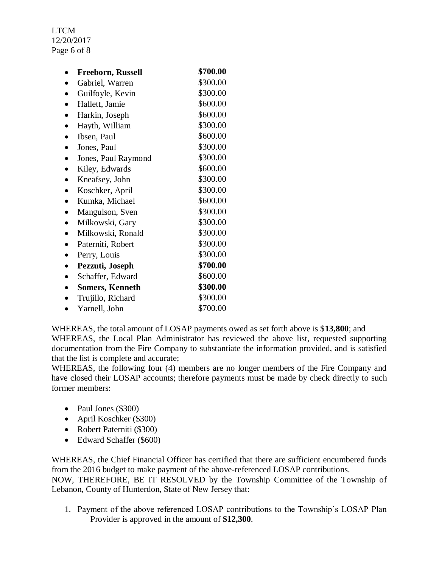LTCM 12/20/2017 Page 6 of 8

| <b>Freeborn, Russell</b> | \$700.00 |
|--------------------------|----------|
| Gabriel, Warren          | \$300.00 |
| Guilfoyle, Kevin         | \$300.00 |
| Hallett, Jamie           | \$600.00 |
| Harkin, Joseph           | \$600.00 |
| Hayth, William           | \$300.00 |
| Ibsen, Paul              | \$600.00 |
| Jones, Paul              | \$300.00 |
| Jones, Paul Raymond      | \$300.00 |
| Kiley, Edwards           | \$600.00 |
| Kneafsey, John           | \$300.00 |
| Koschker, April          | \$300.00 |
| Kumka, Michael           | \$600.00 |
| Mangulson, Sven          | \$300.00 |
| Milkowski, Gary          | \$300.00 |
| Milkowski, Ronald        | \$300.00 |
| Paterniti, Robert        | \$300.00 |
| Perry, Louis             | \$300.00 |
| Pezzuti, Joseph          | \$700.00 |
| Schaffer, Edward         | \$600.00 |
| <b>Somers, Kenneth</b>   | \$300.00 |
| Trujillo, Richard        | \$300.00 |
| Yarnell, John            | \$700.00 |

WHEREAS, the total amount of LOSAP payments owed as set forth above is \$**13,800**; and WHEREAS, the Local Plan Administrator has reviewed the above list, requested supporting documentation from the Fire Company to substantiate the information provided, and is satisfied that the list is complete and accurate;

WHEREAS, the following four (4) members are no longer members of the Fire Company and have closed their LOSAP accounts; therefore payments must be made by check directly to such former members:

- Paul Jones (\$300)
- April Koschker (\$300)
- Robert Paterniti (\$300)
- Edward Schaffer (\$600)

WHEREAS, the Chief Financial Officer has certified that there are sufficient encumbered funds from the 2016 budget to make payment of the above-referenced LOSAP contributions.

NOW, THEREFORE, BE IT RESOLVED by the Township Committee of the Township of Lebanon, County of Hunterdon, State of New Jersey that:

1. Payment of the above referenced LOSAP contributions to the Township's LOSAP Plan Provider is approved in the amount of **\$12,300**.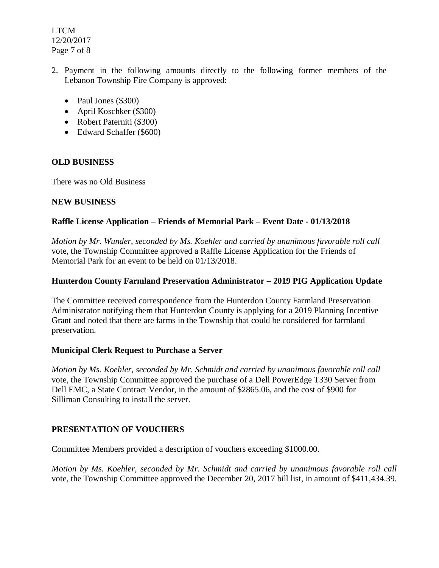LTCM 12/20/2017 Page 7 of 8

- 2. Payment in the following amounts directly to the following former members of the Lebanon Township Fire Company is approved:
	- Paul Jones  $(\$300)$
	- April Koschker (\$300)
	- Robert Paterniti (\$300)
	- Edward Schaffer (\$600)

# **OLD BUSINESS**

There was no Old Business

## **NEW BUSINESS**

## **Raffle License Application – Friends of Memorial Park – Event Date - 01/13/2018**

*Motion by Mr. Wunder, seconded by Ms. Koehler and carried by unanimous favorable roll call*  vote, the Township Committee approved a Raffle License Application for the Friends of Memorial Park for an event to be held on 01/13/2018.

## **Hunterdon County Farmland Preservation Administrator – 2019 PIG Application Update**

The Committee received correspondence from the Hunterdon County Farmland Preservation Administrator notifying them that Hunterdon County is applying for a 2019 Planning Incentive Grant and noted that there are farms in the Township that could be considered for farmland preservation.

### **Municipal Clerk Request to Purchase a Server**

*Motion by Ms. Koehler, seconded by Mr. Schmidt and carried by unanimous favorable roll call*  vote, the Township Committee approved the purchase of a Dell PowerEdge T330 Server from Dell EMC, a State Contract Vendor, in the amount of \$2865.06, and the cost of \$900 for Silliman Consulting to install the server.

# **PRESENTATION OF VOUCHERS**

Committee Members provided a description of vouchers exceeding \$1000.00.

*Motion by Ms. Koehler, seconded by Mr. Schmidt and carried by unanimous favorable roll call*  vote, the Township Committee approved the December 20, 2017 bill list, in amount of \$411,434.39.